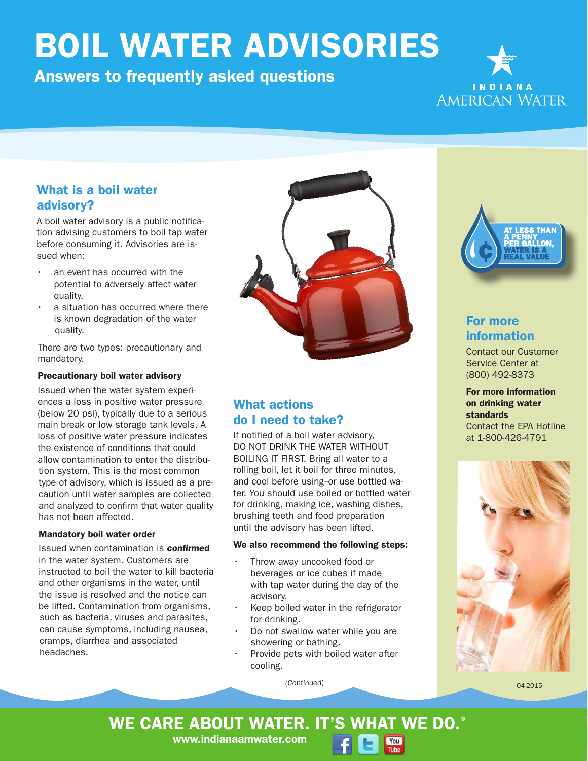# BOIL WATER ADVISORIES

## Answers to frequently asked questions



#### What is a boil water advisory?

A boil water advisory is a public notification advising customers to boil tap water before consuming it. Advisories are issued when:

- an event has occurred with the potential to adversely affect water quality.
- a situation has occurred where there is known degradation of the water quality.

There are two types: precautionary and mandatory.

#### Precautionary boil water advisory

Issued when the water system experiences a loss in positive water pressure (below 20 psi), typically due to a serious main break or low storage tank levels. A loss of positive water pressure indicates the existence of conditions that could allow contamination to enter the distribution system. This is the most common type of advisory, which is issued as a precaution until water samples are collected and analyzed to confirm that water quality has not been affected.

#### Mandatory boil water order

Issued when contamination is confirmed in the water system. Customers are instructed to boil the water to kill bacteria and other organisms in the water, until the issue is resolved and the notice can be lifted. Contamination from organisms, such as bacteria, viruses and parasites, can cause symptoms, including nausea, cramps, diarrhea and associated headaches.



## What actions do I need to take?

If notified of a boil water advisory, DO NOT DRINK THE WATER WITHOUT BOILING IT FIRST. Bring all water to a rolling boil, let it boil for three minutes, and cool before using--or use bottled water. You should use boiled or bottled water for drinking, making ice, washing dishes, brushing teeth and food preparation until the advisory has been lifted.

#### We also recommend the following steps:

- Throw away uncooked food or beverages or ice cubes if made with tap water during the day of the advisory.
- Keep boiled water in the refrigerator for drinking.
- Do not swallow water while you are showering or bathing.
- Provide pets with boiled water after cooling.

 $You$ Tube

(Continued)



## For more information

Contact our Customer Service Center at (800) 492-8373

For more information on drinking water standards Contact the EPA Hotline at 1-800-426-4791



04-2015

WE CARE ABOUT WATER. IT'S WHAT WE DO.<sup>®</sup>

www.indianaamwater.com